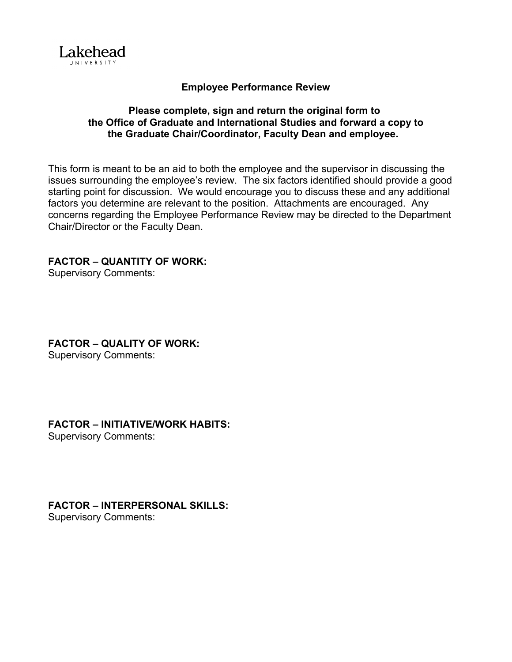

### **Employee Performance Review**

### **Please complete, sign and return the original form to the Office of Graduate and International Studies and forward a copy to the Graduate Chair/Coordinator, Faculty Dean and employee.**

This form is meant to be an aid to both the employee and the supervisor in discussing the issues surrounding the employee's review. The six factors identified should provide a good starting point for discussion. We would encourage you to discuss these and any additional factors you determine are relevant to the position. Attachments are encouraged. Any concerns regarding the Employee Performance Review may be directed to the Department Chair/Director or the Faculty Dean.

### **FACTOR – QUANTITY OF WORK:**

Supervisory Comments:

**FACTOR – QUALITY OF WORK:** Supervisory Comments:

## **FACTOR – INITIATIVE/WORK HABITS:**

Supervisory Comments:

## **FACTOR – INTERPERSONAL SKILLS:**

Supervisory Comments: